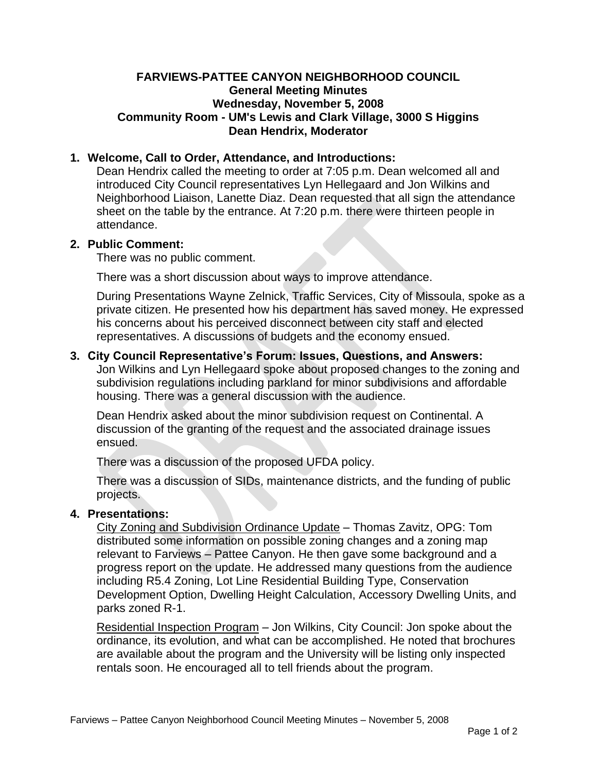## **FARVIEWS-PATTEE CANYON NEIGHBORHOOD COUNCIL General Meeting Minutes Wednesday, November 5, 2008 Community Room - UM's Lewis and Clark Village, 3000 S Higgins Dean Hendrix, Moderator**

# **1. Welcome, Call to Order, Attendance, and Introductions:**

Dean Hendrix called the meeting to order at 7:05 p.m. Dean welcomed all and introduced City Council representatives Lyn Hellegaard and Jon Wilkins and Neighborhood Liaison, Lanette Diaz. Dean requested that all sign the attendance sheet on the table by the entrance. At 7:20 p.m. there were thirteen people in attendance.

## **2. Public Comment:**

There was no public comment.

There was a short discussion about ways to improve attendance.

During Presentations Wayne Zelnick, Traffic Services, City of Missoula, spoke as a private citizen. He presented how his department has saved money. He expressed his concerns about his perceived disconnect between city staff and elected representatives. A discussions of budgets and the economy ensued.

# **3. City Council Representative's Forum: Issues, Questions, and Answers:**

Jon Wilkins and Lyn Hellegaard spoke about proposed changes to the zoning and subdivision regulations including parkland for minor subdivisions and affordable housing. There was a general discussion with the audience.

Dean Hendrix asked about the minor subdivision request on Continental. A discussion of the granting of the request and the associated drainage issues ensued.

There was a discussion of the proposed UFDA policy.

There was a discussion of SIDs, maintenance districts, and the funding of public projects.

# **4. Presentations:**

City Zoning and Subdivision Ordinance Update – Thomas Zavitz, OPG: Tom distributed some information on possible zoning changes and a zoning map relevant to Farviews – Pattee Canyon. He then gave some background and a progress report on the update. He addressed many questions from the audience including R5.4 Zoning, Lot Line Residential Building Type, Conservation Development Option, Dwelling Height Calculation, Accessory Dwelling Units, and parks zoned R-1.

Residential Inspection Program – Jon Wilkins, City Council: Jon spoke about the ordinance, its evolution, and what can be accomplished. He noted that brochures are available about the program and the University will be listing only inspected rentals soon. He encouraged all to tell friends about the program.